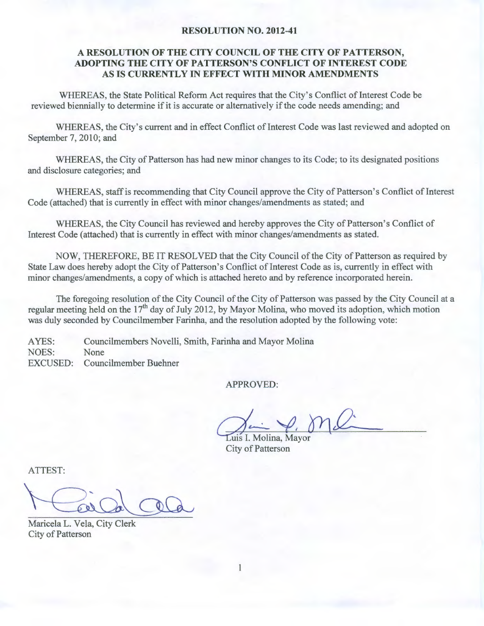#### **RESOLUTION NO. 2012-41**

## **A RESOLUTION OF THE CITY COUNCIL OF THE CITY OF PATTERSON, ADOPTING THE CITY OF PATTERSON'S CONFLICT OF INTEREST CODE**  AS IS **CURRENTLY IN EFFECT WITH MINOR AMENDMENTS**

WHEREAS, the State Political Reform Act requires that the City's Conflict of Interest Code be reviewed biennially to determine if it is accurate or alternatively if the code needs amending; and

WHEREAS, the City's current and in effect Conflict of Interest Code was last reviewed and adopted on September 7, 2010; and

WHEREAS, the City of Patterson has had new minor changes to its Code; to its designated positions and disclosure categories; and

WHEREAS, staff is recommending that City Council approve the City of Patterson's Conflict of Interest Code (attached) that is currently in effect with minor changes/amendments as stated; and

WHEREAS, the City Council has reviewed and hereby approves the City of Patterson's Conflict of Interest Code (attached) that is currently in effect with minor changes/amendments as stated.

NOW, THEREFORE, BE IT RESOLVED that the City Council of the City of Patterson as required by State Law does hereby adopt the City of Patterson's Conflict of Interest Code as is, currently in effect with minor changes/amendments, a copy of which is attached hereto and by reference incorporated herein.

The foregoing resolution of the City Council of the City of Patterson was passed by the City Council at a regular meeting held on the  $17<sup>th</sup>$  day of July 2012, by Mayor Molina, who moved its adoption, which motion was duly seconded by Councilmember Farinha, and the resolution adopted by the following vote:

AYES: NOES: Councilmembers Novelli, Smith, Farinha and Mayor Molina None EXCUSED: Councilmember Buehner

APPROVED:

Luis I. Molina, Mayor City of Patterson

ATTEST:

Maricela L. Vela, City Clerk City of Patterson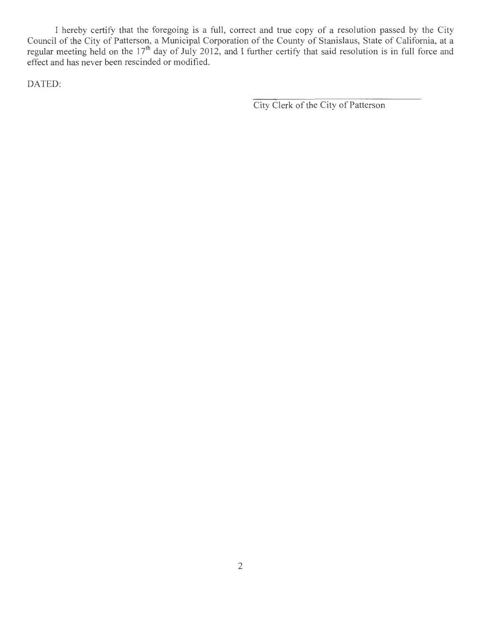I hereby certify that the foregoing is a full, correct and true copy of a resolution passed by the City Council of the City of Patterson, a Municipal Corporation of the County of Stanislaus, State of California, at a regular meeting held on the 17<sup>th</sup> day of July 2012, and I further certify that said resolution is in full force and effect and has never been rescinded or modified.

DATED:

City Clerk of the City of Patterson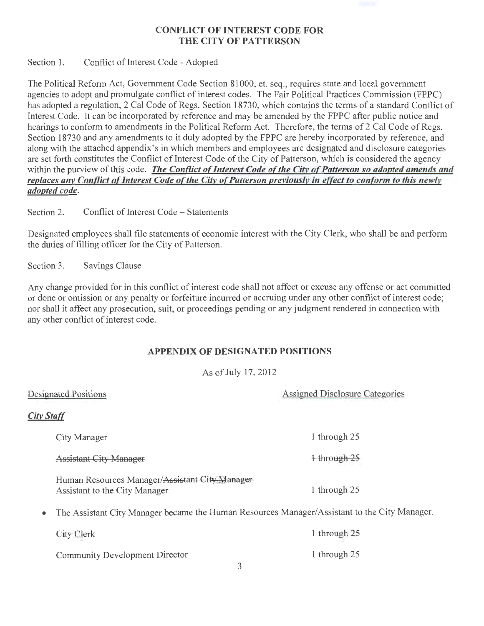## CONFLICT OF INTEREST CODE FOR THE CITY OF PATTERSON

Section 1. Conflict of Interest Code - Adopted

The Political Reform Act, Government Code Section 81000, et. seq., requires state and local government agencies to adopt and promulgate conflict of interest codes. The Fair Political Practices Commission (FPPC) has adopted a regulation, 2 Cal Code of Regs. Section 18730, which contains the terms of a standard Conflict of Interest Code. It can be incorporated by reference and may be amended by the FPPC after public notice and hearings to conform to amendments in the Political Reform Act. Therefore, the terms of 2 Cal Code of Regs. Section 18730 and any amendments to it duly adopted by the FPPC are hereby incorporated by reference, and along with the attached appendix's in which members and employees are designated and disclosure categories are set forth constitutes the Conflict of Interest Code of the City of Patterson, which is considered the agency within the purview of this code. *The Conflict of Interest Code of the City of Patterson so adopted amends and replaces any Conflict of Interest Code of the City of Patterson previously in effect to conform to this newly adopted code.* 

Section 2. Conflict of Interest Code – Statements

Designated employees shall file statements of economic interest with the City Clerk, who shall be and perform the duties of filling officer for the City of Patterson.

Section 3. Savings Clause

Any change provided for in this conflict of interest code shall not affect or excuse any offense or act committed or done or omission or any penalty or forfeiture incurred or accruing under any other conflict of interest code; nor shall it affect any prosecution, suit, or proceedings pending or any judgment rendered in connection with any other conflict of interest code.

## APPENDIX OF DESIGNATED POSITIONS

As of July 17, 2012

|                   | Designated Positions                                                                         | Assigned Disclosure Categories |
|-------------------|----------------------------------------------------------------------------------------------|--------------------------------|
| <b>City Staff</b> |                                                                                              |                                |
|                   | City Manager                                                                                 | 1 through 25                   |
|                   | <b>Assistant City Manager</b>                                                                | 1 through 25                   |
|                   | Human Resources Manager/Assistant City Manager<br>Assistant to the City Manager              | 1 through 25                   |
|                   | The Assistant City Manager became the Human Resources Manager/Assistant to the City Manager. |                                |
|                   | City Clerk                                                                                   | 1 through $25$                 |
|                   | <b>Community Development Director</b><br>3                                                   | 1 through 25                   |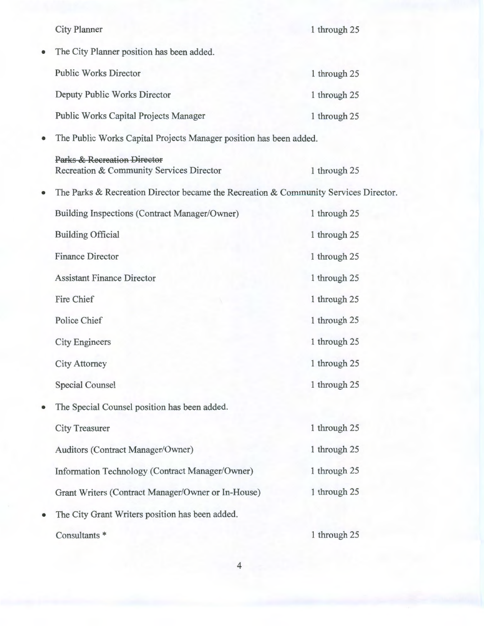|   | <b>City Planner</b>                                                                  | 1 through 25 |  |  |  |  |  |
|---|--------------------------------------------------------------------------------------|--------------|--|--|--|--|--|
| ٠ | The City Planner position has been added.                                            |              |  |  |  |  |  |
|   | <b>Public Works Director</b>                                                         | 1 through 25 |  |  |  |  |  |
|   | Deputy Public Works Director                                                         | 1 through 25 |  |  |  |  |  |
|   | <b>Public Works Capital Projects Manager</b>                                         | 1 through 25 |  |  |  |  |  |
| ٠ | The Public Works Capital Projects Manager position has been added.                   |              |  |  |  |  |  |
|   | <b>Parks &amp; Recreation Director</b><br>Recreation & Community Services Director   | 1 through 25 |  |  |  |  |  |
|   | The Parks & Recreation Director became the Recreation & Community Services Director. |              |  |  |  |  |  |
|   | Building Inspections (Contract Manager/Owner)                                        | 1 through 25 |  |  |  |  |  |
|   | <b>Building Official</b>                                                             | 1 through 25 |  |  |  |  |  |
|   | <b>Finance Director</b>                                                              | 1 through 25 |  |  |  |  |  |
|   | <b>Assistant Finance Director</b>                                                    | 1 through 25 |  |  |  |  |  |
|   | Fire Chief                                                                           | 1 through 25 |  |  |  |  |  |
|   | Police Chief                                                                         | 1 through 25 |  |  |  |  |  |
|   | <b>City Engineers</b>                                                                | 1 through 25 |  |  |  |  |  |
|   | <b>City Attorney</b>                                                                 | 1 through 25 |  |  |  |  |  |
|   | <b>Special Counsel</b>                                                               | 1 through 25 |  |  |  |  |  |
|   | The Special Counsel position has been added.                                         |              |  |  |  |  |  |
|   | <b>City Treasurer</b>                                                                | 1 through 25 |  |  |  |  |  |
|   | Auditors (Contract Manager/Owner)                                                    | 1 through 25 |  |  |  |  |  |
|   | Information Technology (Contract Manager/Owner)                                      | 1 through 25 |  |  |  |  |  |
|   | Grant Writers (Contract Manager/Owner or In-House)                                   | 1 through 25 |  |  |  |  |  |
|   | The City Grant Writers position has been added.                                      |              |  |  |  |  |  |
|   | Consultants *                                                                        | 1 through 25 |  |  |  |  |  |

4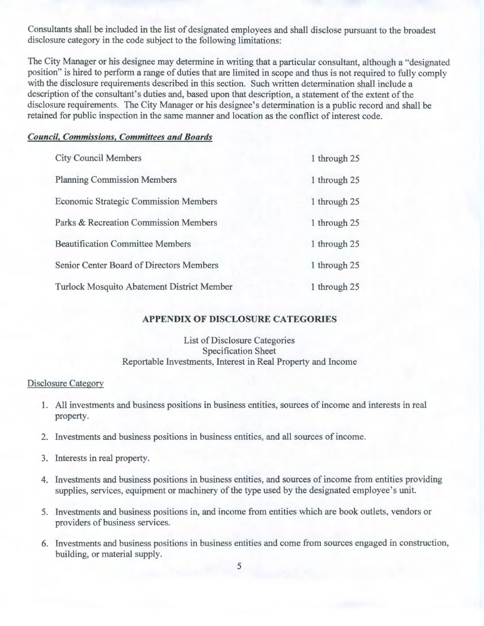Consultants shall be included in the list of designated employees and shall disclose pursuant to the broadest disclosure category in the code subject to the following limitations:

The City Manager or his designee may determine in writing that a particular consultant, although a "designated position" is hired to perform a range of duties that are limited in scope and thus is not required to fully comply with the disclosure requirements described in this section. Such written determination shall include a description of the consultant's duties and, based upon that description, a statement of the extent of the disclosure requirements. The City Manager or his designee's determination is a public record and shall be retained for public inspection in the same manner and location as the conflict of interest code.

### *Council, Commissions, Committees and Boards*

| <b>City Council Members</b>                       | 1 through 25 |
|---------------------------------------------------|--------------|
| <b>Planning Commission Members</b>                | 1 through 25 |
| <b>Economic Strategic Commission Members</b>      | 1 through 25 |
| Parks & Recreation Commission Members             | 1 through 25 |
| <b>Beautification Committee Members</b>           | 1 through 25 |
| Senior Center Board of Directors Members          | 1 through 25 |
| <b>Turlock Mosquito Abatement District Member</b> | 1 through 25 |

#### **APPENDIX OF DISCLOSURE CATEGORIES**

### List of Disclosure Categories Specification Sheet Reportable Investments, Interest in Real Property and Income

#### Disclosure Category

- 1. All investments and business positions in business entities, sources of income and interests in real property.
- 2. Investments and business positions in business entities, and all sources of income.
- 3. Interests in real property.
- 4. Investments and business positions in business entities, and sources of income from entities providing supplies, services, equipment or machinery of the type used by the designated employee's unit.
- 5. Investments and business positions in, and income from entities which are book outlets, vendors or providers of business services.
- 6. Investments and business positions in business entities and come from sources engaged in construction, building, or material supply.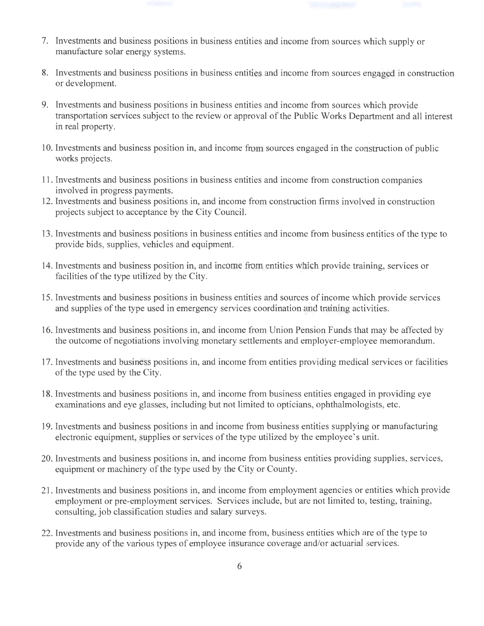- 7. Investments and business positions in business entities and income from sources which supply or manufacture solar energy systems.
- 8. Investments and business positions in business entities and income from sources engaged in construction or development.
- 9. Investments and business positions in business entities and income from sources which provide transportation services subject to the review or approval ofthe Public Works Department and all interest in real property.
- 10. Investments and business position in, and income from sources engaged in the construction of public works projects.
- 11. Investments and business positions in business entities and income from construction companies involved in progress payments.
- 12. Investments and business positions in, and income from construction firms involved in construction projects subject to acceptance by the City Council.
- 13. Investments and business positions in business entities and income from business entities of the type to provide bids, supplies, vehicles and equipment.
- 14. Investments and business position in, and income from entities which provide training, services or facilities of the type utilized by the City.
- 15. Investments and business positions in business entities and sources of income which provide services and supplies of the type used in emergency services coordination and training activities.
- 16. Investments and business positions in, and income from Union Pension Funds that may be affected by the outcome of negotiations involving monetary settlements and employer-employee memorandum.
- 17. Investments and business positions in, and income from entities providing medical services or facilities of the type used by the City.
- 18. Investments and business positions in, and income from business entities engaged in providing eye examinations and eye glasses, including but not limited to opticians, ophthalmologists, etc.
- 19. Investments and business positions in and income from business entities supplying or manufacturing electronic equipment, supplies or services of the type utilized by the employee's unit.
- 20. Investments and business positions in, and income from business entities providing supplies, services, equipment or machinery of the type used by the City or County.
- 21. Investments and business positions in, and income from employment agencies or entities which provide employment or pre-employment services. Services include, but are not limited to, testing, training, consulting, job classification studies and salary surveys.
- 22. Investments and business positions in, and income from, business entities which are of the type to provide any of the various types of employee insurance coverage and/or actuarial services.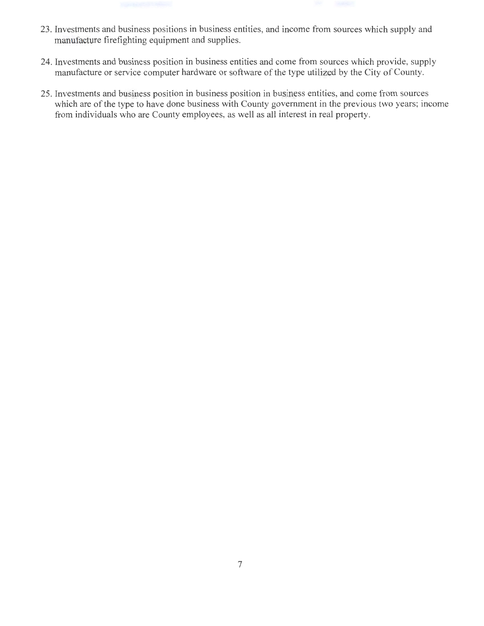- 23. Investments and business positions in business entities, and income from sources which supply and manufacture firefighting equipment and supplies.
- 24. Investments and business position in business entities and come from sources which provide, supply manufacture or service computer hardware or software of the type utilized by the City of County.
- 25. Investments and business position in business position in business entities, and come from sources which are of the type to have done business with County government in the previous two years; income from individuals who are County employees, as well as all interest in real property.